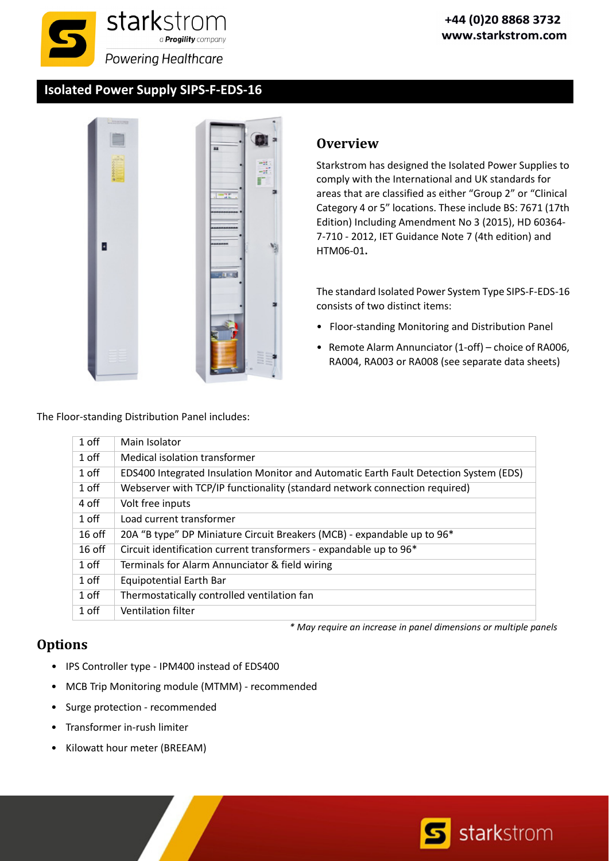#### **Isolated Power Supply SIPS‐F‐EDS‐16**



### **Overview**

Starkstrom has designed the Isolated Power Supplies to comply with the International and UK standards for areas that are classified as either "Group 2" or "Clinical Category 4 or 5" locations. These include BS: 7671 (17th Edition) Including Amendment No 3 (2015), HD 60364‐ 7‐710 ‐ 2012, IET Guidance Note 7 (4th edition) and HTM06‐01**.**

The standard Isolated Power System Type SIPS‐F‐EDS‐16 consists of two distinct items:

- Floor‐standing Monitoring and Distribution Panel
- Remote Alarm Annunciator (1‐off) choice of RA006, RA004, RA003 or RA008 (see separate data sheets)

The Floor‐standing Distribution Panel includes:

| 1 off    | Main Isolator                                                                         |
|----------|---------------------------------------------------------------------------------------|
| 1 off    | Medical isolation transformer                                                         |
| 1 off    | EDS400 Integrated Insulation Monitor and Automatic Earth Fault Detection System (EDS) |
| 1 off    | Webserver with TCP/IP functionality (standard network connection required)            |
| 4 off    | Volt free inputs                                                                      |
| 1 off    | Load current transformer                                                              |
| $16$ off | 20A "B type" DP Miniature Circuit Breakers (MCB) - expandable up to 96*               |
| $16$ off | Circuit identification current transformers - expandable up to 96*                    |
| 1 off    | Terminals for Alarm Annunciator & field wiring                                        |
| 1 off    | Equipotential Earth Bar                                                               |
| 1 off    | Thermostatically controlled ventilation fan                                           |
| 1 off    | Ventilation filter                                                                    |

### **Options**

*\* May require an increase in panel dimensions or multiple panels*

- IPS Controller type ‐ IPM400 instead of EDS400
- MCB Trip Monitoring module (MTMM) ‐ recommended
- Surge protection ‐ recommended
- Transformer in‐rush limiter
- Kilowatt hour meter (BREEAM)

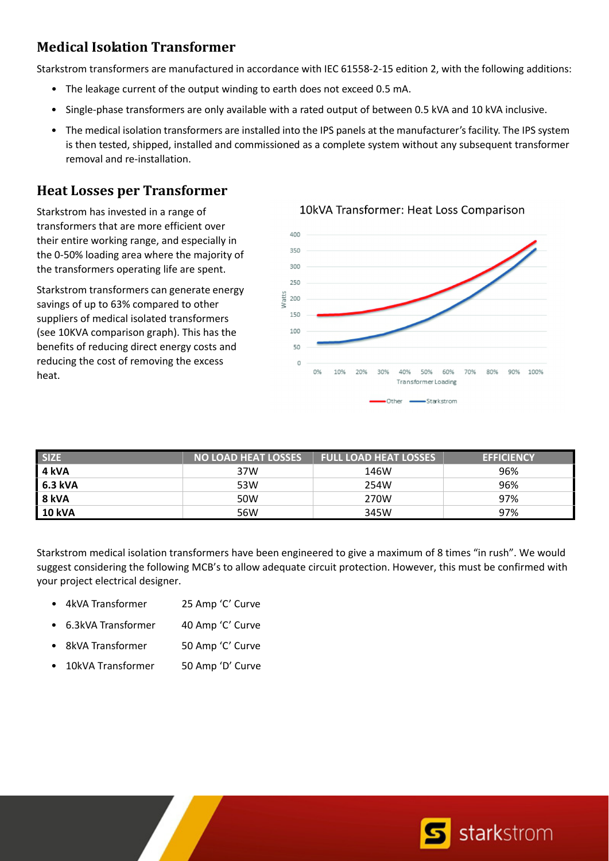# **Medical Isolation Transformer**

Starkstrom transformers are manufactured in accordance with IEC 61558‐2‐15 edition 2, with the following additions:

- The leakage current of the output winding to earth does not exceed 0.5 mA.
- Single‐phase transformers are only available with a rated output of between 0.5 kVA and 10 kVA inclusive.
- The medical isolation transformers are installed into the IPS panels at the manufacturer's facility. The IPS system is then tested, shipped, installed and commissioned as a complete system without any subsequent transformer removal and re‐installation.

### **Heat Losses per Transformer**

Starkstrom has invested in a range of transformers that are more efficient over their entire working range, and especially in the 0‐50% loading area where the majority of the transformers operating life are spent.

Starkstrom transformers can generate energy savings of up to 63% compared to other suppliers of medical isolated transformers (see 10KVA comparison graph). This has the benefits of reducing direct energy costs and reducing the cost of removing the excess heat.



10kVA Transformer: Heat Loss Comparison

| <b>SIZE</b>   | <b>NO LOAD HEAT LOSSES</b> | <b>FULL LOAD HEAT LOSSES</b> | <b>EFFICIENCY</b> |
|---------------|----------------------------|------------------------------|-------------------|
| 4 kVA         | 37W                        | 146W                         | 96%               |
| 6.3 kVA       | 53W                        | 254W                         | 96%               |
| 8 kVA         | 50W                        | 270W                         | 97%               |
| <b>10 kVA</b> | 56W                        | 345W                         | 97%               |

Starkstrom medical isolation transformers have been engineered to give a maximum of 8 times "in rush". We would suggest considering the following MCB's to allow adequate circuit protection. However, this must be confirmed with your project electrical designer.

- 4kVA Transformer 25 Amp 'C' Curve
- 6.3kVA Transformer 40 Amp 'C' Curve
- 8kVA Transformer 50 Amp 'C' Curve
- 10kVA Transformer 50 Amp 'D' Curve

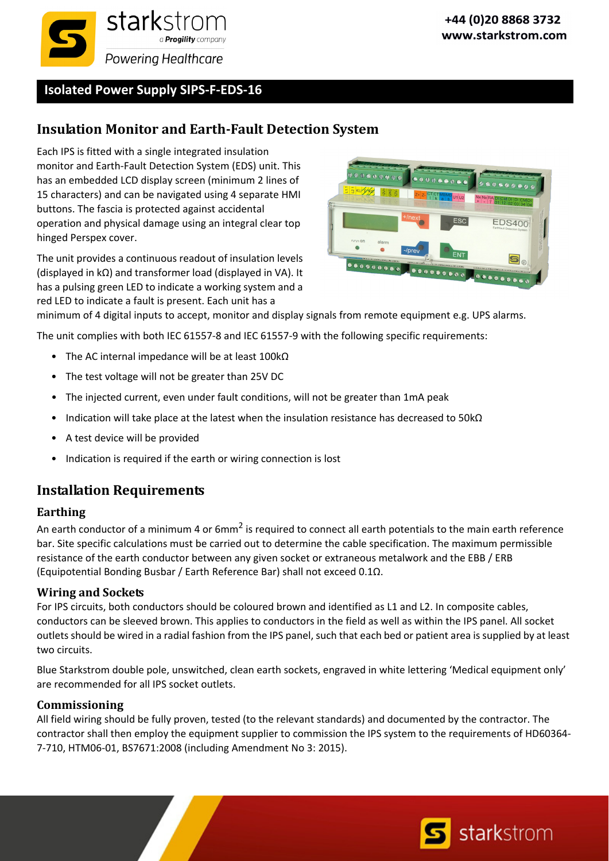

**Isolated Power Supply SIPS‐F‐EDS‐16**

## **Insulation Monitor and Earth‐Fault Detection System**

Each IPS is fitted with a single integrated insulation monitor and Earth‐Fault Detection System (EDS) unit. This has an embedded LCD display screen (minimum 2 lines of 15 characters) and can be navigated using 4 separate HMI buttons. The fascia is protected against accidental operation and physical damage using an integral clear top hinged Perspex cover.

The unit provides a continuous readout of insulation levels (displayed in kΩ) and transformer load (displayed in VA). It has a pulsing green LED to indicate a working system and a red LED to indicate a fault is present. Each unit has a



minimum of 4 digital inputs to accept, monitor and display signals from remote equipment e.g. UPS alarms.

The unit complies with both IEC 61557‐8 and IEC 61557‐9 with the following specific requirements:

- The AC internal impedance will be at least 100kΩ
- The test voltage will not be greater than 25V DC
- The injected current, even under fault conditions, will not be greater than 1mA peak
- Indication will take place at the latest when the insulation resistance has decreased to 50kΩ
- A test device will be provided
- Indication is required if the earth or wiring connection is lost

### **Installation Requirements**

#### **Earthing**

An earth conductor of a minimum 4 or  $6mm^2$  is required to connect all earth potentials to the main earth reference bar. Site specific calculations must be carried out to determine the cable specification. The maximum permissible resistance of the earth conductor between any given socket or extraneous metalwork and the EBB / ERB (Equipotential Bonding Busbar / Earth Reference Bar) shall not exceed 0.1Ω.

#### **Wiring and Sockets**

For IPS circuits, both conductors should be coloured brown and identified as L1 and L2. In composite cables, conductors can be sleeved brown. This applies to conductors in the field as well as within the IPS panel. All socket outlets should be wired in a radial fashion from the IPS panel, such that each bed or patient area issupplied by at least two circuits.

Blue Starkstrom double pole, unswitched, clean earth sockets, engraved in white lettering 'Medical equipment only' are recommended for all IPS socket outlets.

#### **Commissioning**

All field wiring should be fully proven, tested (to the relevant standards) and documented by the contractor. The contractor shall then employ the equipment supplier to commission the IPS system to the requirements of HD60364‐ 7‐710, HTM06‐01, BS7671:2008 (including Amendment No 3: 2015).